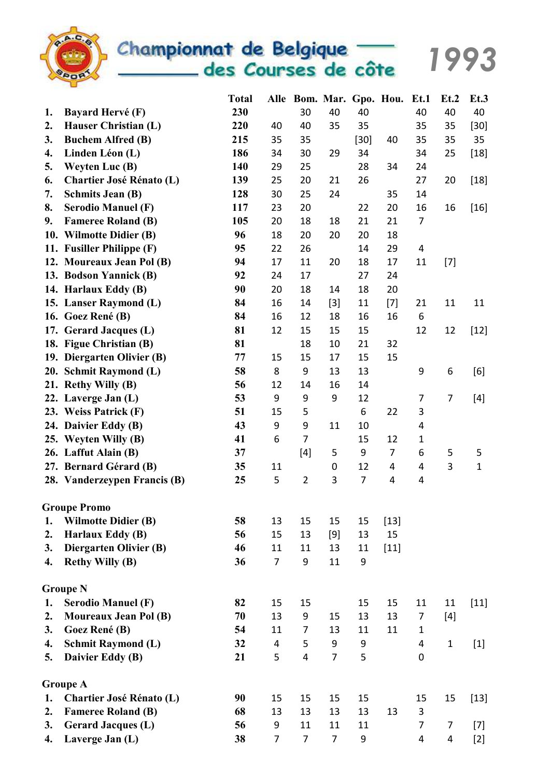

Championnat de Belgique des Courses de côte

1993

Total Alle Bom. Mar. Gpo. Hou. Et.1 Et.2 Et.3 1. Bayard Hervé (F) 230 30 40 40 40 40 40 2. Hauser Christian (L) 220 40 40 35 35 35 35 [30] 3. Buchem Alfred (B) 215 35 35 [30] 40 35 35 35 4. Linden Léon (L) 186 34 30 29 34 34 25 [18] 5. Weyten Luc (B) 140 29 25 28 34 24 6. Chartier José Rénato (L) 139 25 20 21 26 27 20 [18] 7. Schmits Jean (B) 128 30 25 24 35 14 8. Serodio Manuel (F) 117 23 20 22 20 16 16 [16] 9. Fameree Roland (B) 105 20 18 18 21 21 7 10. Wilmotte Didier (B) 96 18 20 20 20 18 11. Fusiller Philippe (F) 95 22 26 14 29 4 12. Moureaux Jean Pol (B) 94 17 11 20 18 17 11 [7] 13. Bodson Yannick (B) 92 24 17 27 24 14. Harlaux Eddy (B) 90 20 18 14 18 20 15. Lanser Raymond (L) 84 16 14 [3] 11 [7] 21 11 11 16. Goez René (B) 84 16 12 18 16 16 6 17. Gerard Jacques (L) 81 12 15 15 15 12 12 [12] 18. Figue Christian (B) 81 18 10 21 32 19. Diergarten Olivier (B) 77 15 15 17 15 15 20. Schmit Raymond (L) 58 8 9 13 13 9 6 [6] 21. Rethy Willy (B) 56 12 14 16 14 22. Laverge Jan (L) 53 9 9 9 12 7 7 [4] 23. Weiss Patrick (F) 51 15 5 6 22 3 24. Daivier Eddy (B) 43 9 9 11 10 4 25. Weyten Willy (B) 41 6 7 15 12 1 26. Laffut Alain (B) 37 [4] 5 9 7 6 5 5 27. Bernard Gérard (B) 35 11 0 12 4 4 3 1 28. Vanderzeypen Francis (B)  $25 \t 5 \t 2 \t 3 \t 7 \t 4 \t 4$ Groupe Promo 1. Wilmotte Didier (B) 58 13 15 15 15 [13] 2. Harlaux Eddy (B) 56 15 13 [9] 13 15 3. Diergarten Olivier (B) 46 11 11 13 11 [11] 4. Rethy Willy (B) 36 7 9 11 9 Groupe N 1. Serodio Manuel (F) 82 15 15 15 15 15 11 11 [11] 2. Moureaux Jean Pol (B) 70 13 9 15 13 13 7 [4] 3. Goez René (B) 54 11 7 13 11 11 1 4. Schmit Raymond (L) 32 4 5 9 9 4 1 [1] 5. Daivier Eddy (B) 21 5 4 7 5 0 Groupe A 1. Chartier José Rénato (L) 90 15 15 15 15 15 15 15 [13] 2. Fameree Roland (B) 68 13 13 13 13 13 3 3. Gerard Jacques (L) 56 9 11 11 11 7 7 [7] 4. Laverge Jan (L) 38 7 7 7 9 4 4 [2]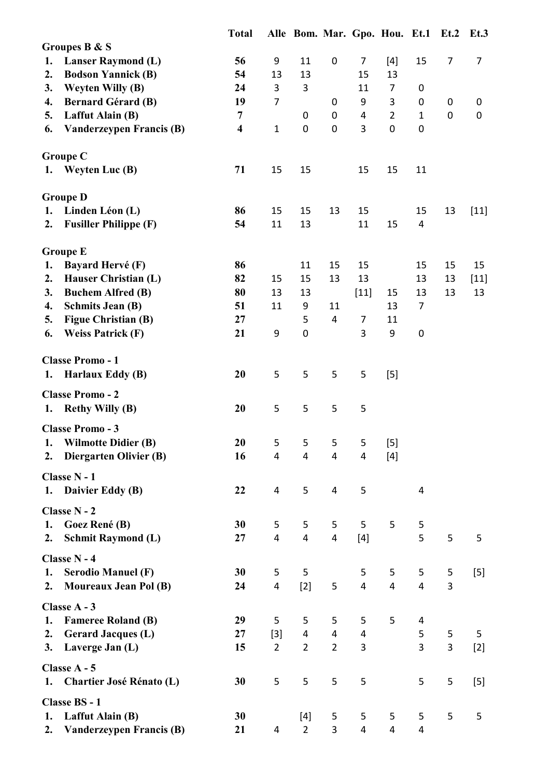|    |                                           | <b>Total</b>            |                         | Alle Bom. Mar. Gpo. Hou. Et.1 Et.2 Et.3 |                |                |                |                |                  |                |
|----|-------------------------------------------|-------------------------|-------------------------|-----------------------------------------|----------------|----------------|----------------|----------------|------------------|----------------|
|    | Groupes B & S                             |                         |                         |                                         |                |                |                |                |                  |                |
| 1. | <b>Lanser Raymond (L)</b>                 | 56                      | 9                       | 11                                      | 0              | $\overline{7}$ | $[4]$          | 15             | $\overline{7}$   | $\overline{7}$ |
| 2. | <b>Bodson Yannick (B)</b>                 | 54                      | 13                      | 13                                      |                | 15             | 13             |                |                  |                |
| 3. | <b>Weyten Willy (B)</b>                   | 24                      | 3                       | 3                                       |                | 11             | $\overline{7}$ | 0              |                  |                |
| 4. | <b>Bernard Gérard (B)</b>                 | 19                      | $\overline{7}$          |                                         | 0              | 9              | 3              | $\pmb{0}$      | $\mathbf 0$      | 0              |
| 5. | Laffut Alain (B)                          | $\overline{7}$          |                         | 0                                       | $\mathbf 0$    | 4              | $\overline{2}$ | $\mathbf{1}$   | $\boldsymbol{0}$ | 0              |
| 6. | Vanderzeypen Francis (B)                  | $\overline{\mathbf{4}}$ | $\mathbf{1}$            | 0                                       | $\mathbf 0$    | 3              | 0              | $\mathbf 0$    |                  |                |
|    | <b>Groupe C</b>                           |                         |                         |                                         |                |                |                |                |                  |                |
|    | 1. Weyten Luc (B)                         | 71                      | 15                      | 15                                      |                | 15             | 15             | 11             |                  |                |
|    | <b>Groupe D</b>                           |                         |                         |                                         |                |                |                |                |                  |                |
| 1. | Linden Léon (L)                           | 86                      | 15                      | 15                                      | 13             | 15             |                | 15             | 13               | $[11]$         |
| 2. | <b>Fusiller Philippe (F)</b>              | 54                      | 11                      | 13                                      |                | 11             | 15             | $\overline{4}$ |                  |                |
|    | <b>Groupe E</b>                           |                         |                         |                                         |                |                |                |                |                  |                |
| 1. | <b>Bayard Hervé (F)</b>                   | 86                      |                         | 11                                      | 15             | 15             |                | 15             | 15               | 15             |
| 2. | Hauser Christian (L)                      | 82                      | 15                      | 15                                      | 13             | 13             |                | 13             | 13               | $[11]$         |
| 3. | <b>Buchem Alfred (B)</b>                  | 80                      | 13                      | 13                                      |                | $[11]$         | 15             | 13             | 13               | 13             |
| 4. | <b>Schmits Jean (B)</b>                   | 51                      | 11                      | 9                                       | 11             |                | 13             | $\overline{7}$ |                  |                |
| 5. | <b>Figue Christian (B)</b>                | 27                      |                         | 5                                       | $\overline{4}$ | $\overline{7}$ | 11             |                |                  |                |
| 6. | <b>Weiss Patrick (F)</b>                  | 21                      | 9                       | 0                                       |                | 3              | 9              | $\mathbf 0$    |                  |                |
|    | <b>Classe Promo - 1</b>                   |                         |                         |                                         |                |                |                |                |                  |                |
|    | 1. Harlaux Eddy (B)                       | 20                      | 5                       | 5                                       | 5              | 5              | $[5]$          |                |                  |                |
|    | <b>Classe Promo - 2</b>                   |                         |                         |                                         |                |                |                |                |                  |                |
|    | 1. Rethy Willy (B)                        | 20                      | 5                       | 5                                       | 5              | 5              |                |                |                  |                |
|    | <b>Classe Promo - 3</b>                   |                         |                         |                                         |                |                |                |                |                  |                |
|    | 1. Wilmotte Didier (B)                    | 20                      | 5                       | 5                                       | 5              | 5              | $[5]$          |                |                  |                |
| 2. | Diergarten Olivier (B)                    | 16                      | 4                       | 4                                       | 4              | 4              | $[4]$          |                |                  |                |
|    | Classe N - 1                              |                         |                         |                                         |                |                |                |                |                  |                |
|    | 1. Daivier Eddy (B)                       | 22                      | 4                       | 5                                       | 4              | 5              |                | 4              |                  |                |
|    | Classe N - 2                              |                         |                         |                                         |                |                |                |                |                  |                |
| 1. | Goez René (B)                             | 30                      | 5                       | 5                                       | 5              | 5              | 5              | 5              |                  |                |
| 2. | <b>Schmit Raymond (L)</b>                 | 27                      | 4                       | 4                                       | 4              | $[4]$          |                | 5              | 5                | 5              |
| 1. | Classe N - 4<br><b>Serodio Manuel (F)</b> | 30                      | 5                       | 5                                       |                | 5              | 5              | 5              | 5                | $[5]$          |
| 2. | <b>Moureaux Jean Pol (B)</b>              | 24                      | $\overline{\mathbf{4}}$ | $[2]$                                   | 5              | $\overline{4}$ | $\overline{4}$ | $\overline{4}$ | 3                |                |
|    | Classe A - 3                              |                         |                         |                                         |                |                |                |                |                  |                |
| 1. | <b>Fameree Roland (B)</b>                 | 29                      | 5                       | 5                                       | 5              | 5              | 5              | 4              |                  |                |
| 2. | <b>Gerard Jacques (L)</b>                 | 27                      | $[3]$                   | 4                                       | 4              | 4              |                | 5              | 5                | 5              |
| 3. | Laverge Jan (L)                           | 15                      | $\overline{2}$          | $\overline{2}$                          | $\overline{2}$ | 3              |                | 3              | 3                | $[2]$          |
|    | Classe A - 5                              |                         |                         |                                         |                |                |                |                |                  |                |
|    | 1. Chartier José Rénato (L)               | 30                      | 5                       | 5                                       | 5              | 5              |                | 5              | 5                | $[5]$          |
|    | <b>Classe BS - 1</b>                      |                         |                         |                                         |                |                |                |                |                  |                |
| 1. | Laffut Alain (B)                          | 30                      |                         | $[4]$                                   | 5              | 5              | 5              | 5              | 5                | 5              |
| 2. | Vanderzeypen Francis (B)                  | 21                      | 4                       | $\overline{2}$                          | 3              | 4              | $\overline{4}$ | $\overline{4}$ |                  |                |